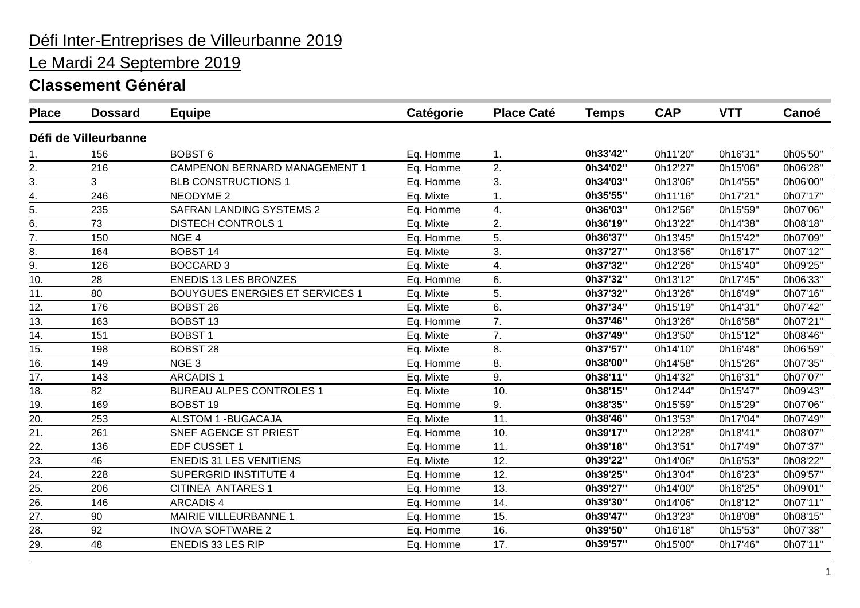# Le Mardi 24 Septembre 2019

| <b>Place</b>     | <b>Dossard</b>       | <b>Equipe</b>                          | Catégorie | <b>Place Caté</b> | <b>Temps</b> | <b>CAP</b> | <b>VTT</b> | Canoé    |
|------------------|----------------------|----------------------------------------|-----------|-------------------|--------------|------------|------------|----------|
|                  | Défi de Villeurbanne |                                        |           |                   |              |            |            |          |
| 1.               | 156                  | <b>BOBST 6</b>                         | Eq. Homme | 1.                | 0h33'42"     | 0h11'20"   | 0h16'31"   | 0h05'50" |
| 2.               | 216                  | <b>CAMPENON BERNARD MANAGEMENT 1</b>   | Eq. Homme | 2.                | 0h34'02"     | 0h12'27"   | 0h15'06"   | 0h06'28" |
| 3.               | 3                    | <b>BLB CONSTRUCTIONS 1</b>             | Eq. Homme | 3.                | 0h34'03"     | 0h13'06"   | 0h14'55"   | 0h06'00" |
| 4.               | 246                  | <b>NEODYME 2</b>                       | Eq. Mixte | 1.                | 0h35'55"     | 0h11'16"   | 0h17'21"   | 0h07'17" |
| 5.               | 235                  | <b>SAFRAN LANDING SYSTEMS 2</b>        | Eq. Homme | 4.                | 0h36'03"     | 0h12'56"   | 0h15'59"   | 0h07'06" |
| 6.               | 73                   | <b>DISTECH CONTROLS 1</b>              | Eq. Mixte | 2.                | 0h36'19"     | 0h13'22"   | 0h14'38"   | 0h08'18" |
| 7.               | 150                  | NGE <sub>4</sub>                       | Eq. Homme | 5.                | 0h36'37"     | 0h13'45"   | 0h15'42"   | 0h07'09" |
| 8.               | 164                  | <b>BOBST 14</b>                        | Eq. Mixte | 3.                | 0h37'27"     | 0h13'56"   | 0h16'17"   | 0h07'12" |
| $\overline{9}$ . | 126                  | <b>BOCCARD 3</b>                       | Eq. Mixte | 4.                | 0h37'32"     | 0h12'26"   | 0h15'40"   | 0h09'25" |
| 10.              | 28                   | <b>ENEDIS 13 LES BRONZES</b>           | Eq. Homme | 6.                | 0h37'32"     | 0h13'12"   | 0h17'45"   | 0h06'33" |
| 11.              | 80                   | <b>BOUYGUES ENERGIES ET SERVICES 1</b> | Eq. Mixte | 5.                | 0h37'32"     | 0h13'26"   | 0h16'49"   | 0h07'16" |
| 12.              | 176                  | <b>BOBST 26</b>                        | Eq. Mixte | 6.                | 0h37'34"     | 0h15'19"   | 0h14'31"   | 0h07'42" |
| 13.              | 163                  | <b>BOBST 13</b>                        | Eq. Homme | 7.                | 0h37'46"     | 0h13'26'   | 0h16'58"   | 0h07'21" |
| 14.              | 151                  | <b>BOBST1</b>                          | Eq. Mixte | 7.                | 0h37'49"     | 0h13'50"   | 0h15'12"   | 0h08'46" |
| 15.              | 198                  | <b>BOBST 28</b>                        | Eq. Mixte | 8.                | 0h37'57"     | 0h14'10"   | 0h16'48"   | 0h06'59" |
| 16.              | 149                  | NGE <sub>3</sub>                       | Eq. Homme | 8.                | 0h38'00"     | 0h14'58"   | 0h15'26"   | 0h07'35" |
| 17.              | 143                  | <b>ARCADIS1</b>                        | Eq. Mixte | 9.                | 0h38'11"     | 0h14'32"   | 0h16'31"   | 0h07'07" |
| 18.              | 82                   | <b>BUREAU ALPES CONTROLES 1</b>        | Eq. Mixte | 10.               | 0h38'15"     | 0h12'44"   | 0h15'47"   | 0h09'43" |
| 19.              | 169                  | <b>BOBST 19</b>                        | Eq. Homme | 9.                | 0h38'35"     | 0h15'59"   | 0h15'29"   | 0h07'06" |
| 20.              | 253                  | <b>ALSTOM 1 - BUGACAJA</b>             | Eq. Mixte | 11.               | 0h38'46"     | 0h13'53"   | 0h17'04"   | 0h07'49" |
| 21.              | 261                  | SNEF AGENCE ST PRIEST                  | Eq. Homme | 10.               | 0h39'17"     | 0h12'28"   | 0h18'41"   | 0h08'07" |
| 22.              | 136                  | EDF CUSSET 1                           | Eq. Homme | 11.               | 0h39'18"     | 0h13'51"   | 0h17'49"   | 0h07'37" |
| 23.              | 46                   | <b>ENEDIS 31 LES VENITIENS</b>         | Eq. Mixte | 12.               | 0h39'22"     | 0h14'06"   | 0h16'53"   | 0h08'22" |
| 24.              | 228                  | <b>SUPERGRID INSTITUTE 4</b>           | Eq. Homme | 12.               | 0h39'25"     | 0h13'04"   | 0h16'23"   | 0h09'57" |
| 25.              | 206                  | <b>CITINEA ANTARES 1</b>               | Eq. Homme | 13.               | 0h39'27"     | 0h14'00"   | 0h16'25"   | 0h09'01" |
| 26.              | 146                  | <b>ARCADIS4</b>                        | Eq. Homme | 14.               | 0h39'30"     | 0h14'06"   | 0h18'12"   | 0h07'11" |
| 27.              | 90                   | MAIRIE VILLEURBANNE 1                  | Eq. Homme | 15.               | 0h39'47"     | 0h13'23"   | 0h18'08"   | 0h08'15" |
| 28.              | 92                   | <b>INOVA SOFTWARE 2</b>                | Eq. Homme | 16.               | 0h39'50"     | 0h16'18"   | 0h15'53"   | 0h07'38" |
| 29.              | 48                   | <b>ENEDIS 33 LES RIP</b>               | Eq. Homme | 17.               | 0h39'57"     | 0h15'00"   | 0h17'46"   | 0h07'11" |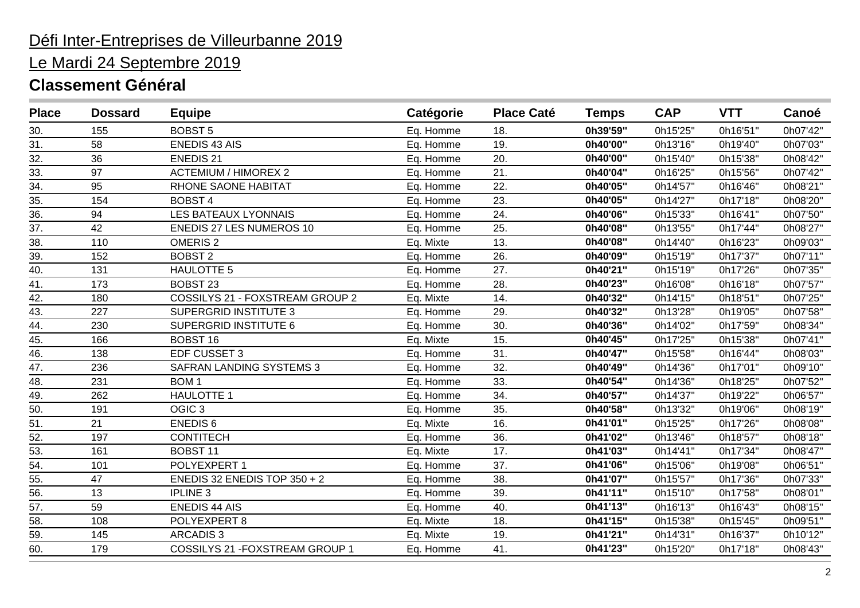# Le Mardi 24 Septembre 2019

| <b>Place</b>      | <b>Dossard</b> | <b>Equipe</b>                   | Catégorie | <b>Place Caté</b> | <b>Temps</b> | <b>CAP</b> | <b>VTT</b> | Canoé    |
|-------------------|----------------|---------------------------------|-----------|-------------------|--------------|------------|------------|----------|
| 30.               | 155            | <b>BOBST 5</b>                  | Eq. Homme | 18.               | 0h39'59"     | 0h15'25'   | 0h16'51"   | 0h07'42" |
| 31.               | 58             | <b>ENEDIS 43 AIS</b>            | Eq. Homme | 19.               | 0h40'00"     | 0h13'16"   | 0h19'40"   | 0h07'03" |
| 32.               | 36             | <b>ENEDIS 21</b>                | Eq. Homme | 20.               | 0h40'00"     | 0h15'40"   | 0h15'38"   | 0h08'42" |
| 33.               | 97             | <b>ACTEMIUM / HIMOREX 2</b>     | Eq. Homme | 21.               | 0h40'04"     | 0h16'25"   | 0h15'56"   | 0h07'42" |
| 34.               | 95             | RHONE SAONE HABITAT             | Eq. Homme | 22.               | 0h40'05"     | 0h14'57"   | 0h16'46"   | 0h08'21" |
| 35.               | 154            | <b>BOBST4</b>                   | Eq. Homme | 23.               | 0h40'05"     | 0h14'27"   | 0h17'18"   | 0h08'20" |
| 36.               | 94             | <b>LES BATEAUX LYONNAIS</b>     | Eq. Homme | 24.               | 0h40'06"     | 0h15'33"   | 0h16'41"   | 0h07'50" |
| 37.               | 42             | <b>ENEDIS 27 LES NUMEROS 10</b> | Eq. Homme | 25.               | 0h40'08"     | 0h13'55"   | 0h17'44"   | 0h08'27" |
| 38.               | 110            | <b>OMERIS 2</b>                 | Eq. Mixte | 13.               | 0h40'08"     | 0h14'40"   | 0h16'23"   | 0h09'03" |
| 39.               | 152            | <b>BOBST 2</b>                  | Eq. Homme | 26.               | 0h40'09"     | 0h15'19"   | 0h17'37"   | 0h07'11" |
| 40.               | 131            | <b>HAULOTTE 5</b>               | Eq. Homme | 27.               | 0h40'21"     | 0h15'19"   | 0h17'26"   | 0h07'35" |
| 41.               | 173            | <b>BOBST 23</b>                 | Eq. Homme | 28.               | 0h40'23"     | 0h16'08"   | 0h16'18"   | 0h07'57" |
| $\overline{42}$ . | 180            | COSSILYS 21 - FOXSTREAM GROUP 2 | Eq. Mixte | 14.               | 0h40'32"     | 0h14'15"   | 0h18'51"   | 0h07'25" |
| 43.               | 227            | <b>SUPERGRID INSTITUTE 3</b>    | Eq. Homme | 29.               | 0h40'32"     | 0h13'28"   | 0h19'05"   | 0h07'58" |
| 44.               | 230            | <b>SUPERGRID INSTITUTE 6</b>    | Eq. Homme | 30.               | 0h40'36"     | 0h14'02"   | 0h17'59"   | 0h08'34" |
| 45.               | 166            | <b>BOBST 16</b>                 | Eq. Mixte | 15.               | 0h40'45"     | 0h17'25"   | 0h15'38"   | 0h07'41" |
| 46.               | 138            | EDF CUSSET 3                    | Eq. Homme | 31.               | 0h40'47"     | 0h15'58"   | 0h16'44"   | 0h08'03" |
| 47.               | 236            | <b>SAFRAN LANDING SYSTEMS 3</b> | Eq. Homme | 32.               | 0h40'49"     | 0h14'36"   | 0h17'01"   | 0h09'10" |
| 48.               | 231            | BOM <sub>1</sub>                | Eq. Homme | 33.               | 0h40'54"     | 0h14'36"   | 0h18'25"   | 0h07'52" |
| 49.               | 262            | <b>HAULOTTE 1</b>               | Eq. Homme | 34.               | 0h40'57"     | 0h14'37"   | 0h19'22"   | 0h06'57" |
| 50.               | 191            | OGIC <sub>3</sub>               | Eq. Homme | 35.               | 0h40'58"     | 0h13'32"   | 0h19'06"   | 0h08'19" |
| 51.               | 21             | <b>ENEDIS6</b>                  | Eq. Mixte | 16.               | 0h41'01"     | 0h15'25"   | 0h17'26"   | 0h08'08" |
| 52.               | 197            | <b>CONTITECH</b>                | Eq. Homme | 36.               | 0h41'02"     | 0h13'46"   | 0h18'57"   | 0h08'18" |
| 53.               | 161            | <b>BOBST 11</b>                 | Eq. Mixte | 17.               | 0h41'03"     | 0h14'41"   | 0h17'34"   | 0h08'47" |
| 54.               | 101            | POLYEXPERT 1                    | Eq. Homme | 37.               | 0h41'06"     | 0h15'06"   | 0h19'08"   | 0h06'51" |
| 55.               | 47             | ENEDIS 32 ENEDIS TOP $350 + 2$  | Eq. Homme | 38.               | 0h41'07"     | 0h15'57"   | 0h17'36"   | 0h07'33" |
| 56.               | 13             | <b>IPLINE 3</b>                 | Eq. Homme | 39.               | 0h41'11"     | 0h15'10"   | 0h17'58"   | 0h08'01" |
| 57.               | 59             | <b>ENEDIS 44 AIS</b>            | Eq. Homme | 40.               | 0h41'13"     | 0h16'13"   | 0h16'43"   | 0h08'15" |
| 58.               | 108            | POLYEXPERT 8                    | Eq. Mixte | 18.               | 0h41'15"     | 0h15'38"   | 0h15'45"   | 0h09'51" |
| 59.               | 145            | <b>ARCADIS3</b>                 | Eq. Mixte | 19.               | 0h41'21"     | 0h14'31"   | 0h16'37"   | 0h10'12" |
| 60.               | 179            | COSSILYS 21 - FOXSTREAM GROUP 1 | Eq. Homme | 41.               | 0h41'23"     | 0h15'20"   | 0h17'18"   | 0h08'43" |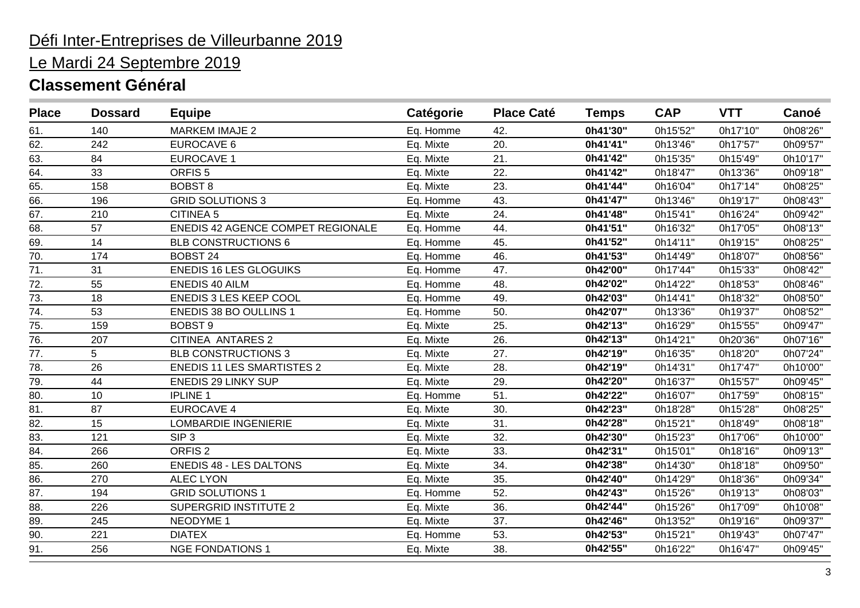# Le Mardi 24 Septembre 2019

| <b>Place</b>      | <b>Dossard</b> | <b>Equipe</b>                     | Catégorie | <b>Place Caté</b> | <b>Temps</b> | <b>CAP</b> | <b>VTT</b> | Canoé    |
|-------------------|----------------|-----------------------------------|-----------|-------------------|--------------|------------|------------|----------|
| 61.               | 140            | <b>MARKEM IMAJE 2</b>             | Eq. Homme | 42.               | 0h41'30"     | 0h15'52"   | 0h17'10"   | 0h08'26" |
| 62.               | 242            | EUROCAVE 6                        | Eq. Mixte | 20.               | 0h41'41"     | 0h13'46"   | 0h17'57"   | 0h09'57" |
| 63.               | 84             | <b>EUROCAVE 1</b>                 | Eq. Mixte | 21.               | 0h41'42"     | 0h15'35"   | 0h15'49"   | 0h10'17" |
| $\overline{64}$ . | 33             | ORFIS <sub>5</sub>                | Eq. Mixte | 22.               | 0h41'42"     | 0h18'47"   | 0h13'36"   | 0h09'18" |
| 65.               | 158            | <b>BOBST 8</b>                    | Eq. Mixte | 23.               | 0h41'44"     | 0h16'04"   | 0h17'14"   | 0h08'25" |
| 66.               | 196            | <b>GRID SOLUTIONS 3</b>           | Eq. Homme | 43.               | 0h41'47"     | 0h13'46"   | 0h19'17"   | 0h08'43" |
| 67.               | 210            | <b>CITINEA 5</b>                  | Eq. Mixte | 24.               | 0h41'48"     | 0h15'41"   | 0h16'24"   | 0h09'42" |
| 68.               | 57             | ENEDIS 42 AGENCE COMPET REGIONALE | Eq. Homme | 44.               | 0h41'51"     | 0h16'32"   | 0h17'05"   | 0h08'13" |
| 69.               | 14             | <b>BLB CONSTRUCTIONS 6</b>        | Eq. Homme | 45.               | 0h41'52"     | 0h14'11"   | 0h19'15"   | 0h08'25" |
| 70.               | 174            | <b>BOBST 24</b>                   | Eq. Homme | 46.               | 0h41'53"     | 0h14'49"   | 0h18'07"   | 0h08'56" |
| $\overline{71}$ . | 31             | <b>ENEDIS 16 LES GLOGUIKS</b>     | Eq. Homme | 47.               | 0h42'00"     | 0h17'44"   | 0h15'33"   | 0h08'42" |
| 72.               | 55             | <b>ENEDIS 40 AILM</b>             | Eq. Homme | 48.               | 0h42'02"     | 0h14'22"   | 0h18'53"   | 0h08'46" |
| 73.               | 18             | <b>ENEDIS 3 LES KEEP COOL</b>     | Eq. Homme | 49.               | 0h42'03"     | 0h14'41"   | 0h18'32"   | 0h08'50" |
| $\overline{74}$ . | 53             | ENEDIS 38 BO OULLINS 1            | Eq. Homme | 50.               | 0h42'07"     | 0h13'36"   | 0h19'37"   | 0h08'52" |
| 75.               | 159            | <b>BOBST 9</b>                    | Eq. Mixte | 25.               | 0h42'13"     | 0h16'29"   | 0h15'55"   | 0h09'47" |
| 76.               | 207            | <b>CITINEA ANTARES 2</b>          | Eq. Mixte | 26.               | 0h42'13"     | 0h14'21"   | 0h20'36"   | 0h07'16" |
| 77.               | 5              | <b>BLB CONSTRUCTIONS 3</b>        | Eq. Mixte | 27.               | 0h42'19"     | 0h16'35"   | 0h18'20"   | 0h07'24" |
| 78.               | 26             | <b>ENEDIS 11 LES SMARTISTES 2</b> | Eq. Mixte | 28.               | 0h42'19"     | 0h14'31"   | 0h17'47"   | 0h10'00" |
| 79.               | 44             | <b>ENEDIS 29 LINKY SUP</b>        | Eq. Mixte | 29.               | 0h42'20"     | 0h16'37"   | 0h15'57"   | 0h09'45" |
| 80.               | 10             | <b>IPLINE 1</b>                   | Eq. Homme | 51.               | 0h42'22"     | 0h16'07"   | 0h17'59"   | 0h08'15" |
| 81.               | 87             | <b>EUROCAVE 4</b>                 | Eq. Mixte | 30.               | 0h42'23"     | 0h18'28"   | 0h15'28"   | 0h08'25" |
| 82.               | 15             | <b>LOMBARDIE INGENIERIE</b>       | Eq. Mixte | 31.               | 0h42'28"     | 0h15'21"   | 0h18'49"   | 0h08'18" |
| 83.               | 121            | SIP <sub>3</sub>                  | Eq. Mixte | 32.               | 0h42'30"     | 0h15'23"   | 0h17'06"   | 0h10'00" |
| 84.               | 266            | ORFIS <sub>2</sub>                | Eq. Mixte | 33.               | 0h42'31"     | 0h15'01"   | 0h18'16"   | 0h09'13" |
| 85.               | 260            | <b>ENEDIS 48 - LES DALTONS</b>    | Eq. Mixte | 34.               | 0h42'38"     | 0h14'30"   | 0h18'18"   | 0h09'50" |
| 86.               | 270            | <b>ALEC LYON</b>                  | Eq. Mixte | 35.               | 0h42'40"     | 0h14'29"   | 0h18'36"   | 0h09'34" |
| 87.               | 194            | <b>GRID SOLUTIONS 1</b>           | Eq. Homme | 52.               | 0h42'43"     | 0h15'26"   | 0h19'13"   | 0h08'03" |
| 88.               | 226            | <b>SUPERGRID INSTITUTE 2</b>      | Eq. Mixte | 36.               | 0h42'44"     | 0h15'26"   | 0h17'09"   | 0h10'08" |
| 89.               | 245            | NEODYME 1                         | Eq. Mixte | 37.               | 0h42'46"     | 0h13'52"   | 0h19'16"   | 0h09'37" |
| 90.               | 221            | <b>DIATEX</b>                     | Eq. Homme | 53.               | 0h42'53"     | 0h15'21"   | 0h19'43"   | 0h07'47" |
| 91.               | 256            | <b>NGE FONDATIONS 1</b>           | Eq. Mixte | 38.               | 0h42'55"     | 0h16'22"   | 0h16'47"   | 0h09'45" |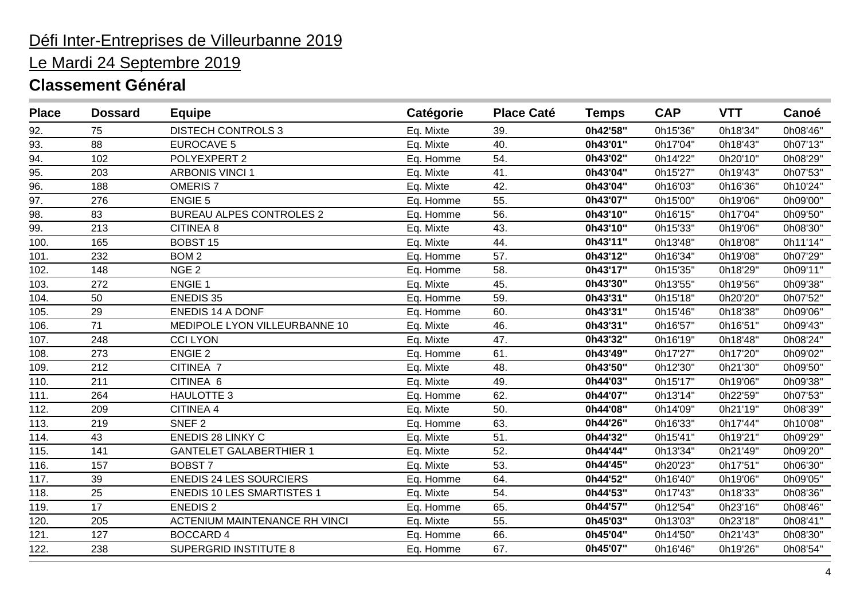# Le Mardi 24 Septembre 2019

| <b>Place</b> | <b>Dossard</b> | <b>Equipe</b>                        | Catégorie | <b>Place Caté</b> | <b>Temps</b> | <b>CAP</b> | <b>VTT</b> | Canoé    |
|--------------|----------------|--------------------------------------|-----------|-------------------|--------------|------------|------------|----------|
| 92.          | 75             | <b>DISTECH CONTROLS 3</b>            | Eq. Mixte | 39.               | 0h42'58"     | 0h15'36"   | 0h18'34"   | 0h08'46" |
| 93.          | 88             | <b>EUROCAVE 5</b>                    | Eq. Mixte | 40.               | 0h43'01"     | 0h17'04"   | 0h18'43"   | 0h07'13" |
| 94.          | 102            | POLYEXPERT 2                         | Eq. Homme | 54.               | 0h43'02"     | 0h14'22"   | 0h20'10"   | 0h08'29" |
| 95.          | 203            | <b>ARBONIS VINCI 1</b>               | Eq. Mixte | 41.               | 0h43'04"     | 0h15'27"   | 0h19'43"   | 0h07'53" |
| 96.          | 188            | <b>OMERIS 7</b>                      | Eq. Mixte | 42.               | 0h43'04"     | 0h16'03"   | 0h16'36"   | 0h10'24" |
| 97.          | 276            | <b>ENGIE 5</b>                       | Eq. Homme | 55.               | 0h43'07"     | 0h15'00"   | 0h19'06"   | 0h09'00" |
| 98.          | 83             | <b>BUREAU ALPES CONTROLES 2</b>      | Eq. Homme | 56.               | 0h43'10"     | 0h16'15"   | 0h17'04"   | 0h09'50" |
| 99.          | 213            | <b>CITINEA 8</b>                     | Eq. Mixte | 43.               | 0h43'10"     | 0h15'33"   | 0h19'06"   | 0h08'30" |
| 100.         | 165            | <b>BOBST 15</b>                      | Eq. Mixte | 44.               | 0h43'11"     | 0h13'48"   | 0h18'08"   | 0h11'14" |
| 101.         | 232            | BOM <sub>2</sub>                     | Eq. Homme | 57.               | 0h43'12"     | 0h16'34"   | 0h19'08"   | 0h07'29" |
| 102.         | 148            | NGE <sub>2</sub>                     | Eq. Homme | 58.               | 0h43'17"     | 0h15'35"   | 0h18'29"   | 0h09'11" |
| 103.         | 272            | <b>ENGIE 1</b>                       | Eq. Mixte | 45.               | 0h43'30"     | 0h13'55"   | 0h19'56"   | 0h09'38" |
| 104.         | 50             | <b>ENEDIS 35</b>                     | Eq. Homme | 59.               | 0h43'31"     | 0h15'18"   | 0h20'20"   | 0h07'52" |
| 105.         | 29             | <b>ENEDIS 14 A DONF</b>              | Eq. Homme | 60.               | 0h43'31"     | 0h15'46"   | 0h18'38"   | 0h09'06" |
| 106.         | 71             | MEDIPOLE LYON VILLEURBANNE 10        | Eq. Mixte | 46.               | 0h43'31"     | 0h16'57"   | 0h16'51"   | 0h09'43" |
| 107.         | 248            | <b>CCI LYON</b>                      | Eq. Mixte | 47.               | 0h43'32"     | 0h16'19"   | 0h18'48"   | 0h08'24" |
| 108.         | 273            | <b>ENGIE 2</b>                       | Eq. Homme | 61.               | 0h43'49"     | 0h17'27"   | 0h17'20"   | 0h09'02" |
| 109.         | 212            | CITINEA 7                            | Eq. Mixte | 48.               | 0h43'50"     | 0h12'30"   | 0h21'30"   | 0h09'50" |
| 110.         | 211            | CITINEA 6                            | Eq. Mixte | 49.               | 0h44'03"     | 0h15'17"   | 0h19'06"   | 0h09'38" |
| 111.         | 264            | <b>HAULOTTE 3</b>                    | Eq. Homme | 62.               | 0h44'07"     | 0h13'14"   | 0h22'59"   | 0h07'53" |
| 112.         | 209            | <b>CITINEA 4</b>                     | Eq. Mixte | 50.               | 0h44'08"     | 0h14'09"   | 0h21'19"   | 0h08'39" |
| 113.         | 219            | SNEF <sub>2</sub>                    | Eq. Homme | 63.               | 0h44'26"     | 0h16'33"   | 0h17'44"   | 0h10'08" |
| 114.         | 43             | <b>ENEDIS 28 LINKY C</b>             | Eq. Mixte | 51.               | 0h44'32"     | 0h15'41"   | 0h19'21"   | 0h09'29" |
| 115.         | 141            | <b>GANTELET GALABERTHIER 1</b>       | Eq. Mixte | 52.               | 0h44'44"     | 0h13'34"   | 0h21'49"   | 0h09'20" |
| 116.         | 157            | <b>BOBST7</b>                        | Eq. Mixte | 53.               | 0h44'45"     | 0h20'23"   | 0h17'51"   | 0h06'30" |
| 117.         | 39             | <b>ENEDIS 24 LES SOURCIERS</b>       | Eq. Homme | 64.               | 0h44'52"     | 0h16'40"   | 0h19'06"   | 0h09'05" |
| 118.         | 25             | <b>ENEDIS 10 LES SMARTISTES 1</b>    | Eq. Mixte | 54.               | 0h44'53"     | 0h17'43"   | 0h18'33"   | 0h08'36" |
| 119.         | 17             | <b>ENEDIS 2</b>                      | Eq. Homme | 65.               | 0h44'57"     | 0h12'54"   | 0h23'16"   | 0h08'46" |
| 120.         | 205            | <b>ACTENIUM MAINTENANCE RH VINCI</b> | Eq. Mixte | 55.               | 0h45'03"     | 0h13'03"   | 0h23'18"   | 0h08'41" |
| 121.         | 127            | <b>BOCCARD 4</b>                     | Eq. Homme | 66.               | 0h45'04"     | 0h14'50"   | 0h21'43"   | 0h08'30" |
| 122.         | 238            | <b>SUPERGRID INSTITUTE 8</b>         | Eq. Homme | 67.               | 0h45'07"     | 0h16'46"   | 0h19'26"   | 0h08'54" |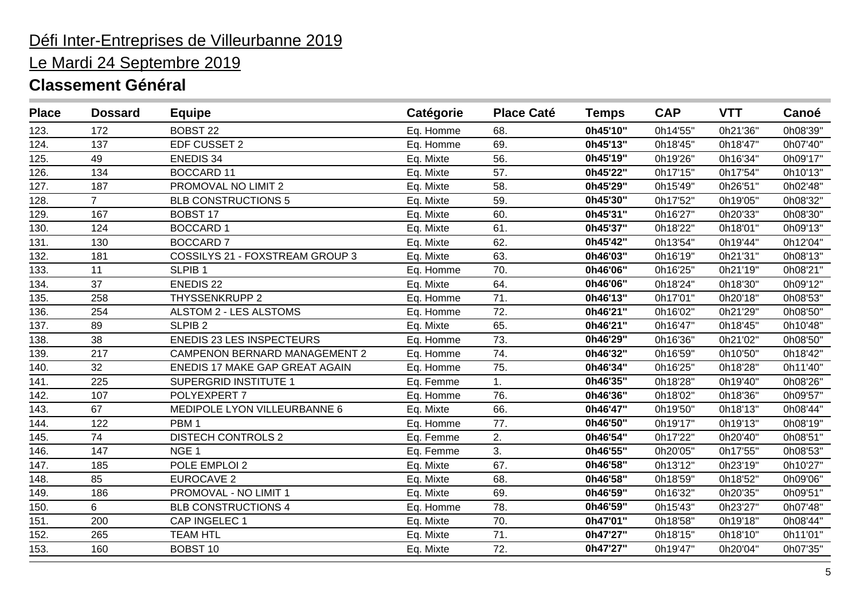# Le Mardi 24 Septembre 2019

| <b>Place</b> | <b>Dossard</b> | <b>Equipe</b>                         | Catégorie | <b>Place Caté</b> | <b>Temps</b> | <b>CAP</b> | <b>VTT</b> | Canoé    |
|--------------|----------------|---------------------------------------|-----------|-------------------|--------------|------------|------------|----------|
| 123.         | 172            | <b>BOBST 22</b>                       | Eq. Homme | 68.               | 0h45'10"     | 0h14'55"   | 0h21'36"   | 0h08'39" |
| 124.         | 137            | EDF CUSSET 2                          | Eq. Homme | 69.               | 0h45'13"     | 0h18'45"   | 0h18'47"   | 0h07'40" |
| 125.         | 49             | <b>ENEDIS 34</b>                      | Eq. Mixte | 56.               | 0h45'19"     | 0h19'26"   | 0h16'34"   | 0h09'17" |
| 126.         | 134            | <b>BOCCARD 11</b>                     | Eq. Mixte | 57.               | 0h45'22"     | 0h17'15"   | 0h17'54"   | 0h10'13" |
| 127.         | 187            | PROMOVAL NO LIMIT 2                   | Eq. Mixte | 58.               | 0h45'29"     | 0h15'49"   | 0h26'51"   | 0h02'48" |
| 128.         | $\overline{7}$ | <b>BLB CONSTRUCTIONS 5</b>            | Eq. Mixte | 59.               | 0h45'30"     | 0h17'52"   | 0h19'05"   | 0h08'32" |
| 129.         | 167            | <b>BOBST 17</b>                       | Eq. Mixte | 60.               | 0h45'31"     | 0h16'27"   | 0h20'33"   | 0h08'30" |
| 130.         | 124            | <b>BOCCARD1</b>                       | Eq. Mixte | 61.               | 0h45'37"     | 0h18'22"   | 0h18'01"   | 0h09'13" |
| 131.         | 130            | <b>BOCCARD 7</b>                      | Eq. Mixte | 62.               | 0h45'42"     | 0h13'54"   | 0h19'44"   | 0h12'04" |
| 132.         | 181            | COSSILYS 21 - FOXSTREAM GROUP 3       | Eq. Mixte | 63.               | 0h46'03"     | 0h16'19"   | 0h21'31"   | 0h08'13" |
| 133.         | 11             | SLPIB <sub>1</sub>                    | Eq. Homme | 70.               | 0h46'06"     | 0h16'25"   | 0h21'19"   | 0h08'21" |
| 134.         | 37             | <b>ENEDIS 22</b>                      | Eq. Mixte | 64.               | 0h46'06"     | 0h18'24"   | 0h18'30"   | 0h09'12" |
| 135.         | 258            | <b>THYSSENKRUPP 2</b>                 | Eq. Homme | 71.               | 0h46'13"     | 0h17'01"   | 0h20'18"   | 0h08'53" |
| 136.         | 254            | ALSTOM 2 - LES ALSTOMS                | Eq. Homme | 72.               | 0h46'21"     | 0h16'02"   | 0h21'29"   | 0h08'50" |
| 137.         | 89             | SLPIB <sub>2</sub>                    | Eq. Mixte | 65.               | 0h46'21"     | 0h16'47"   | 0h18'45"   | 0h10'48" |
| 138.         | 38             | <b>ENEDIS 23 LES INSPECTEURS</b>      | Eq. Homme | 73.               | 0h46'29"     | 0h16'36"   | 0h21'02"   | 0h08'50" |
| 139.         | 217            | <b>CAMPENON BERNARD MANAGEMENT 2</b>  | Eq. Homme | 74.               | 0h46'32"     | 0h16'59"   | 0h10'50"   | 0h18'42" |
| 140.         | 32             | <b>ENEDIS 17 MAKE GAP GREAT AGAIN</b> | Eq. Homme | 75.               | 0h46'34"     | 0h16'25"   | 0h18'28"   | 0h11'40" |
| 141.         | 225            | <b>SUPERGRID INSTITUTE 1</b>          | Eq. Femme | 1.                | 0h46'35"     | 0h18'28"   | 0h19'40"   | 0h08'26" |
| 142.         | 107            | POLYEXPERT 7                          | Eq. Homme | 76.               | 0h46'36"     | 0h18'02"   | 0h18'36"   | 0h09'57" |
| 143.         | 67             | MEDIPOLE LYON VILLEURBANNE 6          | Eq. Mixte | 66.               | 0h46'47"     | 0h19'50"   | 0h18'13"   | 0h08'44" |
| 144.         | 122            | PBM <sub>1</sub>                      | Eq. Homme | 77.               | 0h46'50"     | 0h19'17"   | 0h19'13"   | 0h08'19" |
| 145.         | 74             | <b>DISTECH CONTROLS 2</b>             | Eq. Femme | 2.                | 0h46'54"     | 0h17'22"   | 0h20'40"   | 0h08'51" |
| 146.         | 147            | NGE <sub>1</sub>                      | Eq. Femme | 3.                | 0h46'55"     | 0h20'05"   | 0h17'55"   | 0h08'53" |
| 147.         | 185            | POLE EMPLOI 2                         | Eq. Mixte | 67.               | 0h46'58"     | 0h13'12"   | 0h23'19"   | 0h10'27" |
| 148.         | 85             | <b>EUROCAVE 2</b>                     | Eq. Mixte | 68.               | 0h46'58"     | 0h18'59"   | 0h18'52"   | 0h09'06" |
| 149.         | 186            | PROMOVAL - NO LIMIT 1                 | Eq. Mixte | 69.               | 0h46'59"     | 0h16'32"   | 0h20'35"   | 0h09'51" |
| 150.         | 6              | <b>BLB CONSTRUCTIONS 4</b>            | Eq. Homme | 78.               | 0h46'59"     | 0h15'43"   | 0h23'27"   | 0h07'48" |
| 151.         | 200            | CAP INGELEC 1                         | Eq. Mixte | 70.               | 0h47'01"     | 0h18'58"   | 0h19'18"   | 0h08'44" |
| 152.         | 265            | <b>TEAM HTL</b>                       | Eq. Mixte | 71.               | 0h47'27"     | 0h18'15"   | 0h18'10"   | 0h11'01" |
| 153.         | 160            | <b>BOBST 10</b>                       | Eq. Mixte | 72.               | 0h47'27"     | 0h19'47"   | 0h20'04"   | 0h07'35" |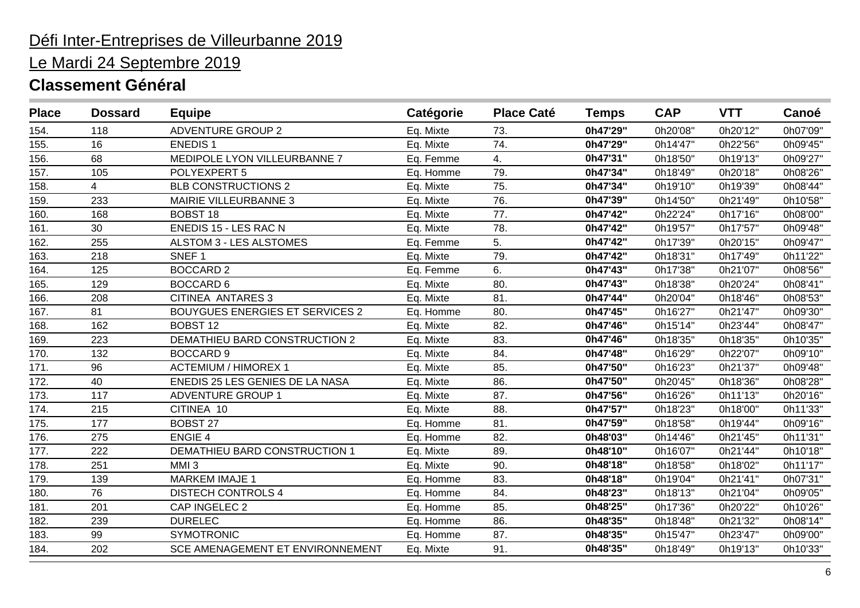# Le Mardi 24 Septembre 2019

| <b>Place</b> | <b>Dossard</b> | <b>Equipe</b>                          | Catégorie | <b>Place Caté</b> | <b>Temps</b> | <b>CAP</b> | <b>VTT</b> | Canoé    |
|--------------|----------------|----------------------------------------|-----------|-------------------|--------------|------------|------------|----------|
| 154.         | 118            | <b>ADVENTURE GROUP 2</b>               | Eq. Mixte | 73.               | 0h47'29"     | 0h20'08"   | 0h20'12"   | 0h07'09" |
| 155.         | 16             | <b>ENEDIS1</b>                         | Eq. Mixte | 74.               | 0h47'29"     | 0h14'47"   | 0h22'56"   | 0h09'45" |
| 156.         | 68             | MEDIPOLE LYON VILLEURBANNE 7           | Eq. Femme | 4.                | 0h47'31"     | 0h18'50"   | 0h19'13"   | 0h09'27" |
| 157.         | 105            | POLYEXPERT 5                           | Eq. Homme | 79.               | 0h47'34"     | 0h18'49"   | 0h20'18"   | 0h08'26" |
| 158.         | $\overline{4}$ | <b>BLB CONSTRUCTIONS 2</b>             | Eq. Mixte | 75.               | 0h47'34"     | 0h19'10"   | 0h19'39"   | 0h08'44" |
| 159.         | 233            | MAIRIE VILLEURBANNE 3                  | Eq. Mixte | 76.               | 0h47'39"     | 0h14'50"   | 0h21'49"   | 0h10'58" |
| 160.         | 168            | <b>BOBST 18</b>                        | Eq. Mixte | 77.               | 0h47'42"     | 0h22'24"   | 0h17'16"   | 0h08'00" |
| 161.         | 30             | ENEDIS 15 - LES RAC N                  | Eq. Mixte | 78.               | 0h47'42"     | 0h19'57"   | 0h17'57"   | 0h09'48" |
| 162.         | 255            | ALSTOM 3 - LES ALSTOMES                | Eq. Femme | 5.                | 0h47'42"     | 0h17'39"   | 0h20'15"   | 0h09'47" |
| 163.         | 218            | SNEF <sub>1</sub>                      | Eq. Mixte | 79.               | 0h47'42"     | 0h18'31"   | 0h17'49"   | 0h11'22" |
| 164.         | 125            | <b>BOCCARD 2</b>                       | Eq. Femme | 6.                | 0h47'43"     | 0h17'38"   | 0h21'07"   | 0h08'56" |
| 165.         | 129            | <b>BOCCARD 6</b>                       | Eq. Mixte | 80.               | 0h47'43"     | 0h18'38"   | 0h20'24"   | 0h08'41" |
| 166.         | 208            | CITINEA ANTARES 3                      | Eq. Mixte | 81.               | 0h47'44"     | 0h20'04"   | 0h18'46"   | 0h08'53" |
| 167.         | 81             | <b>BOUYGUES ENERGIES ET SERVICES 2</b> | Eq. Homme | 80.               | 0h47'45"     | 0h16'27"   | 0h21'47"   | 0h09'30" |
| 168.         | 162            | <b>BOBST 12</b>                        | Eq. Mixte | 82.               | 0h47'46"     | 0h15'14"   | 0h23'44"   | 0h08'47" |
| 169.         | 223            | DEMATHIEU BARD CONSTRUCTION 2          | Eq. Mixte | 83.               | 0h47'46"     | 0h18'35"   | 0h18'35"   | 0h10'35" |
| 170.         | 132            | <b>BOCCARD 9</b>                       | Eq. Mixte | 84.               | 0h47'48"     | 0h16'29"   | 0h22'07"   | 0h09'10" |
| 171.         | 96             | <b>ACTEMIUM / HIMOREX 1</b>            | Eq. Mixte | 85.               | 0h47'50"     | 0h16'23"   | 0h21'37"   | 0h09'48" |
| 172.         | 40             | ENEDIS 25 LES GENIES DE LA NASA        | Eq. Mixte | 86.               | 0h47'50"     | 0h20'45"   | 0h18'36"   | 0h08'28" |
| 173.         | 117            | <b>ADVENTURE GROUP 1</b>               | Eq. Mixte | 87.               | 0h47'56"     | 0h16'26"   | 0h11'13"   | 0h20'16" |
| 174.         | 215            | CITINEA 10                             | Eq. Mixte | 88.               | 0h47'57"     | 0h18'23"   | 0h18'00"   | 0h11'33" |
| 175.         | 177            | <b>BOBST 27</b>                        | Eq. Homme | 81.               | 0h47'59"     | 0h18'58"   | 0h19'44"   | 0h09'16" |
| 176.         | 275            | <b>ENGIE 4</b>                         | Eq. Homme | 82.               | 0h48'03"     | 0h14'46"   | 0h21'45"   | 0h11'31" |
| 177.         | 222            | DEMATHIEU BARD CONSTRUCTION 1          | Eq. Mixte | 89.               | 0h48'10"     | 0h16'07"   | 0h21'44"   | 0h10'18" |
| 178.         | 251            | MMI <sub>3</sub>                       | Eq. Mixte | 90.               | 0h48'18"     | 0h18'58"   | 0h18'02"   | 0h11'17" |
| 179.         | 139            | <b>MARKEM IMAJE 1</b>                  | Eq. Homme | 83.               | 0h48'18"     | 0h19'04"   | 0h21'41"   | 0h07'31" |
| 180.         | 76             | <b>DISTECH CONTROLS 4</b>              | Eq. Homme | 84.               | 0h48'23"     | 0h18'13"   | 0h21'04"   | 0h09'05" |
| 181.         | 201            | CAP INGELEC 2                          | Eq. Homme | 85.               | 0h48'25"     | 0h17'36"   | 0h20'22"   | 0h10'26" |
| 182.         | 239            | <b>DURELEC</b>                         | Eq. Homme | 86.               | 0h48'35"     | 0h18'48"   | 0h21'32"   | 0h08'14" |
| 183.         | 99             | <b>SYMOTRONIC</b>                      | Eq. Homme | 87.               | 0h48'35"     | 0h15'47"   | 0h23'47"   | 0h09'00" |
| 184.         | 202            | SCE AMENAGEMENT ET ENVIRONNEMENT       | Eq. Mixte | 91.               | 0h48'35"     | 0h18'49"   | 0h19'13"   | 0h10'33" |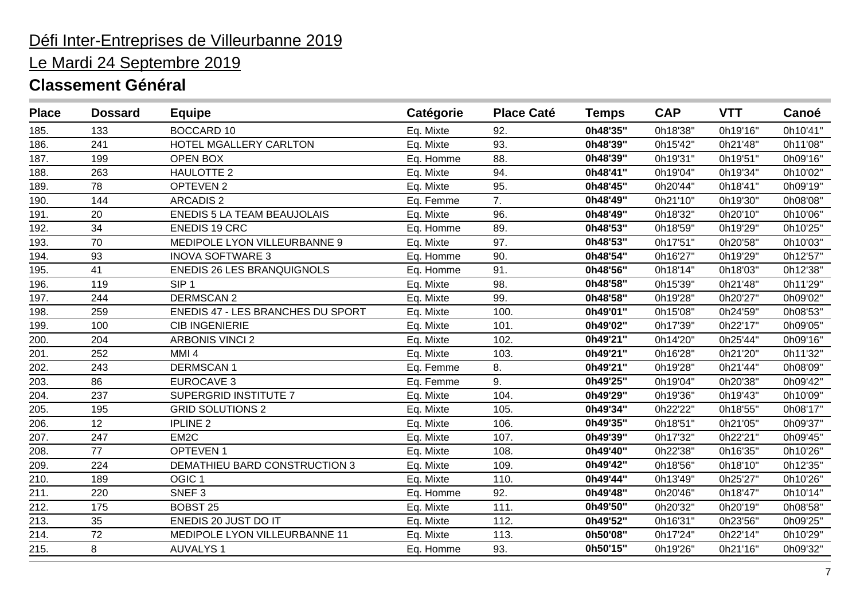# Le Mardi 24 Septembre 2019

| <b>Place</b> | <b>Dossard</b> | <b>Equipe</b>                      | Catégorie | <b>Place Caté</b> | <b>Temps</b> | <b>CAP</b> | <b>VTT</b> | Canoé    |
|--------------|----------------|------------------------------------|-----------|-------------------|--------------|------------|------------|----------|
| 185.         | 133            | <b>BOCCARD 10</b>                  | Eq. Mixte | 92.               | 0h48'35"     | 0h18'38'   | 0h19'16"   | 0h10'41" |
| 186.         | 241            | HOTEL MGALLERY CARLTON             | Eq. Mixte | 93.               | 0h48'39"     | 0h15'42"   | 0h21'48"   | 0h11'08" |
| 187.         | 199            | OPEN BOX                           | Eq. Homme | 88.               | 0h48'39"     | 0h19'31"   | 0h19'51"   | 0h09'16" |
| 188.         | 263            | <b>HAULOTTE 2</b>                  | Eq. Mixte | 94.               | 0h48'41"     | 0h19'04"   | 0h19'34"   | 0h10'02" |
| 189.         | 78             | OPTEVEN 2                          | Eq. Mixte | 95.               | 0h48'45"     | 0h20'44"   | 0h18'41"   | 0h09'19" |
| 190.         | 144            | <b>ARCADIS 2</b>                   | Eq. Femme | 7.                | 0h48'49"     | 0h21'10"   | 0h19'30"   | 0h08'08" |
| 191.         | 20             | <b>ENEDIS 5 LA TEAM BEAUJOLAIS</b> | Eq. Mixte | 96.               | 0h48'49"     | 0h18'32"   | 0h20'10"   | 0h10'06" |
| 192.         | 34             | <b>ENEDIS 19 CRC</b>               | Eq. Homme | 89.               | 0h48'53"     | 0h18'59"   | 0h19'29"   | 0h10'25" |
| 193.         | 70             | MEDIPOLE LYON VILLEURBANNE 9       | Eq. Mixte | 97.               | 0h48'53"     | 0h17'51"   | 0h20'58"   | 0h10'03" |
| 194.         | 93             | <b>INOVA SOFTWARE 3</b>            | Eq. Homme | 90.               | 0h48'54"     | 0h16'27"   | 0h19'29"   | 0h12'57" |
| 195.         | 41             | <b>ENEDIS 26 LES BRANQUIGNOLS</b>  | Eq. Homme | 91.               | 0h48'56"     | 0h18'14"   | 0h18'03"   | 0h12'38" |
| 196.         | 119            | SIP <sub>1</sub>                   | Eq. Mixte | 98.               | 0h48'58"     | 0h15'39"   | 0h21'48"   | 0h11'29" |
| 197.         | 244            | <b>DERMSCAN 2</b>                  | Eq. Mixte | 99.               | 0h48'58"     | 0h19'28"   | 0h20'27"   | 0h09'02" |
| 198.         | 259            | ENEDIS 47 - LES BRANCHES DU SPORT  | Eq. Mixte | 100.              | 0h49'01"     | 0h15'08"   | 0h24'59"   | 0h08'53" |
| 199.         | 100            | <b>CIB INGENIERIE</b>              | Eq. Mixte | 101.              | 0h49'02"     | 0h17'39"   | 0h22'17"   | 0h09'05" |
| 200.         | 204            | <b>ARBONIS VINCI 2</b>             | Eq. Mixte | 102.              | 0h49'21"     | 0h14'20"   | 0h25'44"   | 0h09'16" |
| 201.         | 252            | MMI <sub>4</sub>                   | Eq. Mixte | 103.              | 0h49'21"     | 0h16'28"   | 0h21'20"   | 0h11'32" |
| 202.         | 243            | <b>DERMSCAN1</b>                   | Eq. Femme | 8.                | 0h49'21"     | 0h19'28"   | 0h21'44"   | 0h08'09" |
| 203.         | 86             | <b>EUROCAVE 3</b>                  | Eq. Femme | 9.                | 0h49'25"     | 0h19'04"   | 0h20'38"   | 0h09'42" |
| 204.         | 237            | <b>SUPERGRID INSTITUTE 7</b>       | Eq. Mixte | 104.              | 0h49'29"     | 0h19'36"   | 0h19'43"   | 0h10'09" |
| 205.         | 195            | <b>GRID SOLUTIONS 2</b>            | Eq. Mixte | 105.              | 0h49'34"     | 0h22'22"   | 0h18'55"   | 0h08'17" |
| 206.         | 12             | <b>IPLINE 2</b>                    | Eq. Mixte | 106.              | 0h49'35"     | 0h18'51"   | 0h21'05"   | 0h09'37" |
| 207.         | 247            | EM <sub>2</sub> C                  | Eq. Mixte | 107.              | 0h49'39"     | 0h17'32"   | 0h22'21"   | 0h09'45" |
| 208.         | 77             | <b>OPTEVEN1</b>                    | Eq. Mixte | 108.              | 0h49'40"     | 0h22'38"   | 0h16'35"   | 0h10'26" |
| 209.         | 224            | DEMATHIEU BARD CONSTRUCTION 3      | Eq. Mixte | 109.              | 0h49'42"     | 0h18'56"   | 0h18'10"   | 0h12'35" |
| 210.         | 189            | OGIC <sub>1</sub>                  | Eq. Mixte | 110.              | 0h49'44"     | 0h13'49"   | 0h25'27"   | 0h10'26" |
| 211.         | 220            | SNEF <sub>3</sub>                  | Eq. Homme | 92.               | 0h49'48"     | 0h20'46"   | 0h18'47"   | 0h10'14" |
| 212.         | 175            | <b>BOBST 25</b>                    | Eq. Mixte | 111.              | 0h49'50"     | 0h20'32"   | 0h20'19"   | 0h08'58" |
| 213.         | 35             | ENEDIS 20 JUST DO IT               | Eq. Mixte | 112.              | 0h49'52"     | 0h16'31"   | 0h23'56"   | 0h09'25" |
| 214.         | 72             | MEDIPOLE LYON VILLEURBANNE 11      | Eq. Mixte | 113.              | 0h50'08"     | 0h17'24"   | 0h22'14"   | 0h10'29" |
| 215.         | 8              | <b>AUVALYS1</b>                    | Eq. Homme | 93.               | 0h50'15"     | 0h19'26"   | 0h21'16"   | 0h09'32" |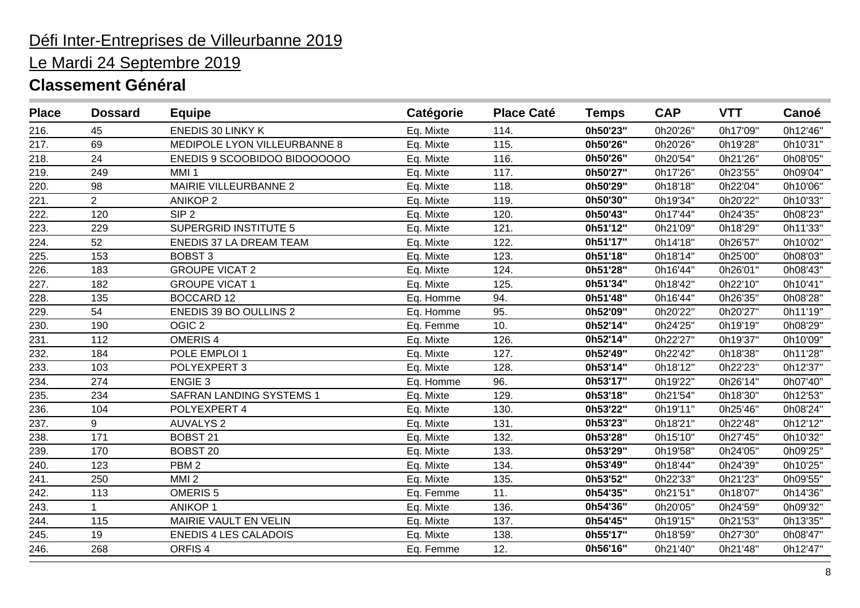# Le Mardi 24 Septembre 2019

| <b>ENEDIS 30 LINKY K</b><br>0h50'23"<br>0h20'26'<br>0h17'09'<br>216.<br>45<br>Eq. Mixte<br>114.<br>0h50'26"<br>69<br>MEDIPOLE LYON VILLEURBANNE 8<br>0h20'26"<br>217.<br>Eq. Mixte<br>115.<br>0h19'28"<br>0h50'26"<br>218.<br>24<br>ENEDIS 9 SCOOBIDOO BIDOOOOOO<br>116.<br>0h21'26"<br>Eq. Mixte<br>0h20'54"<br>219.<br>0h50'27"<br>249<br>MMI <sub>1</sub><br>Eq. Mixte<br>117.<br>0h17'26"<br>0h23'55"<br>MAIRIE VILLEURBANNE 2<br>0h50'29"<br>220.<br>98<br>Eq. Mixte<br>118.<br>0h18'18"<br>0h22'04"<br>221.<br>$\overline{2}$<br>0h50'30"<br>0h20'22"<br><b>ANIKOP 2</b><br>Eq. Mixte<br>119.<br>0h19'34"<br>0h50'43"<br>222.<br>120<br>SIP <sub>2</sub><br>120.<br>0h17'44"<br>0h24'35"<br>Eq. Mixte<br>223.<br><b>SUPERGRID INSTITUTE 5</b><br>0h51'12"<br>229<br>Eq. Mixte<br>121.<br>0h21'09"<br>0h18'29"<br>224.<br>52<br>ENEDIS 37 LA DREAM TEAM<br>122.<br>0h51'17"<br>0h14'18"<br>0h26'57"<br>Eq. Mixte<br>0h51'18"<br>225.<br>153<br><b>BOBST 3</b><br>123.<br>0h18'14"<br>0h25'00"<br>Eq. Mixte<br>0h51'28"<br>226.<br>183<br><b>GROUPE VICAT 2</b><br>Eq. Mixte<br>0h16'44"<br>0h26'01"<br>124.<br>0h51'34"<br>227.<br>182<br><b>GROUPE VICAT 1</b><br>Eq. Mixte<br>125.<br>0h18'42"<br>0h22'10"<br>0h51'48"<br>228.<br>135<br><b>BOCCARD 12</b><br>0h16'44"<br>Eq. Homme<br>94.<br>0h26'35"<br>229.<br>54<br>ENEDIS 39 BO OULLINS 2<br>0h52'09"<br>Eq. Homme<br>95.<br>0h20'22"<br>0h20'27"<br>0h52'14"<br>230.<br>OGIC <sub>2</sub><br>10.<br>190<br>Eq. Femme<br>0h24'25"<br>0h19'19"<br>231.<br>112<br>OMERIS <sub>4</sub><br>0h52'14"<br>126.<br>0h22'27"<br>0h19'37"<br>Eq. Mixte<br>0h52'49"<br>232.<br>184<br>POLE EMPLOI 1<br>127.<br>Eq. Mixte<br>0h22'42"<br>0h18'38"<br>0h53'14"<br>233.<br>103<br>POLYEXPERT 3<br>Eq. Mixte<br>128.<br>0h18'12"<br>0h22'23"<br><b>ENGIE 3</b><br>0h53'17"<br>234.<br>274<br>Eq. Homme<br>96.<br>0h19'22"<br>0h26'14"<br>0h53'18"<br>235.<br><b>SAFRAN LANDING SYSTEMS 1</b><br>234<br>129.<br>0h21'54"<br>0h18'30"<br>Eq. Mixte<br>236.<br>104<br>0h53'22"<br>POLYEXPERT 4<br>Eq. Mixte<br>130.<br>0h19'11"<br>0h25'46"<br>0h53'23"<br>237.<br>9<br><b>AUVALYS 2</b><br>Eq. Mixte<br>131.<br>0h18'21"<br>0h22'48"<br>0h53'28"<br>238.<br>171<br><b>BOBST 21</b><br>132.<br>Eq. Mixte<br>0h15'10"<br>0h27'45"<br>0h53'29"<br>239.<br>170<br><b>BOBST 20</b><br>Eq. Mixte<br>133.<br>0h19'58"<br>0h24'05"<br>PBM <sub>2</sub><br>0h53'49"<br>240.<br>123<br>Eq. Mixte<br>134.<br>0h18'44"<br>0h24'39"<br>241.<br>0h53'52"<br>250<br>MMI <sub>2</sub><br>Eq. Mixte<br>135.<br>0h22'33"<br>0h21'23"<br>0h54'35"<br>242.<br>113<br>OMERIS <sub>5</sub><br>11.<br>0h21'51"<br>0h18'07"<br>Eq. Femme<br>243.<br><b>ANIKOP1</b><br>0h54'36"<br>1<br>Eq. Mixte<br>136.<br>0h20'05"<br>0h24'59" | <b>Place</b> | <b>Dossard</b> | <b>Equipe</b>         | Catégorie | <b>Place Caté</b> | <b>Temps</b> | <b>CAP</b> | <b>VTT</b> | Canoé    |
|-----------------------------------------------------------------------------------------------------------------------------------------------------------------------------------------------------------------------------------------------------------------------------------------------------------------------------------------------------------------------------------------------------------------------------------------------------------------------------------------------------------------------------------------------------------------------------------------------------------------------------------------------------------------------------------------------------------------------------------------------------------------------------------------------------------------------------------------------------------------------------------------------------------------------------------------------------------------------------------------------------------------------------------------------------------------------------------------------------------------------------------------------------------------------------------------------------------------------------------------------------------------------------------------------------------------------------------------------------------------------------------------------------------------------------------------------------------------------------------------------------------------------------------------------------------------------------------------------------------------------------------------------------------------------------------------------------------------------------------------------------------------------------------------------------------------------------------------------------------------------------------------------------------------------------------------------------------------------------------------------------------------------------------------------------------------------------------------------------------------------------------------------------------------------------------------------------------------------------------------------------------------------------------------------------------------------------------------------------------------------------------------------------------------------------------------------------------------------------------------------------------------------------------------------------------------------------------------------------------------------------------------------------------------------------------------------------------------------------------------------------|--------------|----------------|-----------------------|-----------|-------------------|--------------|------------|------------|----------|
|                                                                                                                                                                                                                                                                                                                                                                                                                                                                                                                                                                                                                                                                                                                                                                                                                                                                                                                                                                                                                                                                                                                                                                                                                                                                                                                                                                                                                                                                                                                                                                                                                                                                                                                                                                                                                                                                                                                                                                                                                                                                                                                                                                                                                                                                                                                                                                                                                                                                                                                                                                                                                                                                                                                                                     |              |                |                       |           |                   |              |            |            | 0h12'46" |
|                                                                                                                                                                                                                                                                                                                                                                                                                                                                                                                                                                                                                                                                                                                                                                                                                                                                                                                                                                                                                                                                                                                                                                                                                                                                                                                                                                                                                                                                                                                                                                                                                                                                                                                                                                                                                                                                                                                                                                                                                                                                                                                                                                                                                                                                                                                                                                                                                                                                                                                                                                                                                                                                                                                                                     |              |                |                       |           |                   |              |            |            | 0h10'31" |
|                                                                                                                                                                                                                                                                                                                                                                                                                                                                                                                                                                                                                                                                                                                                                                                                                                                                                                                                                                                                                                                                                                                                                                                                                                                                                                                                                                                                                                                                                                                                                                                                                                                                                                                                                                                                                                                                                                                                                                                                                                                                                                                                                                                                                                                                                                                                                                                                                                                                                                                                                                                                                                                                                                                                                     |              |                |                       |           |                   |              |            |            | 0h08'05" |
|                                                                                                                                                                                                                                                                                                                                                                                                                                                                                                                                                                                                                                                                                                                                                                                                                                                                                                                                                                                                                                                                                                                                                                                                                                                                                                                                                                                                                                                                                                                                                                                                                                                                                                                                                                                                                                                                                                                                                                                                                                                                                                                                                                                                                                                                                                                                                                                                                                                                                                                                                                                                                                                                                                                                                     |              |                |                       |           |                   |              |            |            | 0h09'04" |
|                                                                                                                                                                                                                                                                                                                                                                                                                                                                                                                                                                                                                                                                                                                                                                                                                                                                                                                                                                                                                                                                                                                                                                                                                                                                                                                                                                                                                                                                                                                                                                                                                                                                                                                                                                                                                                                                                                                                                                                                                                                                                                                                                                                                                                                                                                                                                                                                                                                                                                                                                                                                                                                                                                                                                     |              |                |                       |           |                   |              |            |            | 0h10'06" |
|                                                                                                                                                                                                                                                                                                                                                                                                                                                                                                                                                                                                                                                                                                                                                                                                                                                                                                                                                                                                                                                                                                                                                                                                                                                                                                                                                                                                                                                                                                                                                                                                                                                                                                                                                                                                                                                                                                                                                                                                                                                                                                                                                                                                                                                                                                                                                                                                                                                                                                                                                                                                                                                                                                                                                     |              |                |                       |           |                   |              |            |            | 0h10'33" |
|                                                                                                                                                                                                                                                                                                                                                                                                                                                                                                                                                                                                                                                                                                                                                                                                                                                                                                                                                                                                                                                                                                                                                                                                                                                                                                                                                                                                                                                                                                                                                                                                                                                                                                                                                                                                                                                                                                                                                                                                                                                                                                                                                                                                                                                                                                                                                                                                                                                                                                                                                                                                                                                                                                                                                     |              |                |                       |           |                   |              |            |            | 0h08'23" |
|                                                                                                                                                                                                                                                                                                                                                                                                                                                                                                                                                                                                                                                                                                                                                                                                                                                                                                                                                                                                                                                                                                                                                                                                                                                                                                                                                                                                                                                                                                                                                                                                                                                                                                                                                                                                                                                                                                                                                                                                                                                                                                                                                                                                                                                                                                                                                                                                                                                                                                                                                                                                                                                                                                                                                     |              |                |                       |           |                   |              |            |            | 0h11'33" |
|                                                                                                                                                                                                                                                                                                                                                                                                                                                                                                                                                                                                                                                                                                                                                                                                                                                                                                                                                                                                                                                                                                                                                                                                                                                                                                                                                                                                                                                                                                                                                                                                                                                                                                                                                                                                                                                                                                                                                                                                                                                                                                                                                                                                                                                                                                                                                                                                                                                                                                                                                                                                                                                                                                                                                     |              |                |                       |           |                   |              |            |            | 0h10'02" |
|                                                                                                                                                                                                                                                                                                                                                                                                                                                                                                                                                                                                                                                                                                                                                                                                                                                                                                                                                                                                                                                                                                                                                                                                                                                                                                                                                                                                                                                                                                                                                                                                                                                                                                                                                                                                                                                                                                                                                                                                                                                                                                                                                                                                                                                                                                                                                                                                                                                                                                                                                                                                                                                                                                                                                     |              |                |                       |           |                   |              |            |            | 0h08'03" |
|                                                                                                                                                                                                                                                                                                                                                                                                                                                                                                                                                                                                                                                                                                                                                                                                                                                                                                                                                                                                                                                                                                                                                                                                                                                                                                                                                                                                                                                                                                                                                                                                                                                                                                                                                                                                                                                                                                                                                                                                                                                                                                                                                                                                                                                                                                                                                                                                                                                                                                                                                                                                                                                                                                                                                     |              |                |                       |           |                   |              |            |            | 0h08'43" |
|                                                                                                                                                                                                                                                                                                                                                                                                                                                                                                                                                                                                                                                                                                                                                                                                                                                                                                                                                                                                                                                                                                                                                                                                                                                                                                                                                                                                                                                                                                                                                                                                                                                                                                                                                                                                                                                                                                                                                                                                                                                                                                                                                                                                                                                                                                                                                                                                                                                                                                                                                                                                                                                                                                                                                     |              |                |                       |           |                   |              |            |            | 0h10'41" |
|                                                                                                                                                                                                                                                                                                                                                                                                                                                                                                                                                                                                                                                                                                                                                                                                                                                                                                                                                                                                                                                                                                                                                                                                                                                                                                                                                                                                                                                                                                                                                                                                                                                                                                                                                                                                                                                                                                                                                                                                                                                                                                                                                                                                                                                                                                                                                                                                                                                                                                                                                                                                                                                                                                                                                     |              |                |                       |           |                   |              |            |            | 0h08'28" |
|                                                                                                                                                                                                                                                                                                                                                                                                                                                                                                                                                                                                                                                                                                                                                                                                                                                                                                                                                                                                                                                                                                                                                                                                                                                                                                                                                                                                                                                                                                                                                                                                                                                                                                                                                                                                                                                                                                                                                                                                                                                                                                                                                                                                                                                                                                                                                                                                                                                                                                                                                                                                                                                                                                                                                     |              |                |                       |           |                   |              |            |            | 0h11'19" |
|                                                                                                                                                                                                                                                                                                                                                                                                                                                                                                                                                                                                                                                                                                                                                                                                                                                                                                                                                                                                                                                                                                                                                                                                                                                                                                                                                                                                                                                                                                                                                                                                                                                                                                                                                                                                                                                                                                                                                                                                                                                                                                                                                                                                                                                                                                                                                                                                                                                                                                                                                                                                                                                                                                                                                     |              |                |                       |           |                   |              |            |            | 0h08'29" |
|                                                                                                                                                                                                                                                                                                                                                                                                                                                                                                                                                                                                                                                                                                                                                                                                                                                                                                                                                                                                                                                                                                                                                                                                                                                                                                                                                                                                                                                                                                                                                                                                                                                                                                                                                                                                                                                                                                                                                                                                                                                                                                                                                                                                                                                                                                                                                                                                                                                                                                                                                                                                                                                                                                                                                     |              |                |                       |           |                   |              |            |            | 0h10'09" |
|                                                                                                                                                                                                                                                                                                                                                                                                                                                                                                                                                                                                                                                                                                                                                                                                                                                                                                                                                                                                                                                                                                                                                                                                                                                                                                                                                                                                                                                                                                                                                                                                                                                                                                                                                                                                                                                                                                                                                                                                                                                                                                                                                                                                                                                                                                                                                                                                                                                                                                                                                                                                                                                                                                                                                     |              |                |                       |           |                   |              |            |            | 0h11'28" |
|                                                                                                                                                                                                                                                                                                                                                                                                                                                                                                                                                                                                                                                                                                                                                                                                                                                                                                                                                                                                                                                                                                                                                                                                                                                                                                                                                                                                                                                                                                                                                                                                                                                                                                                                                                                                                                                                                                                                                                                                                                                                                                                                                                                                                                                                                                                                                                                                                                                                                                                                                                                                                                                                                                                                                     |              |                |                       |           |                   |              |            |            | 0h12'37" |
|                                                                                                                                                                                                                                                                                                                                                                                                                                                                                                                                                                                                                                                                                                                                                                                                                                                                                                                                                                                                                                                                                                                                                                                                                                                                                                                                                                                                                                                                                                                                                                                                                                                                                                                                                                                                                                                                                                                                                                                                                                                                                                                                                                                                                                                                                                                                                                                                                                                                                                                                                                                                                                                                                                                                                     |              |                |                       |           |                   |              |            |            | 0h07'40" |
|                                                                                                                                                                                                                                                                                                                                                                                                                                                                                                                                                                                                                                                                                                                                                                                                                                                                                                                                                                                                                                                                                                                                                                                                                                                                                                                                                                                                                                                                                                                                                                                                                                                                                                                                                                                                                                                                                                                                                                                                                                                                                                                                                                                                                                                                                                                                                                                                                                                                                                                                                                                                                                                                                                                                                     |              |                |                       |           |                   |              |            |            | 0h12'53" |
|                                                                                                                                                                                                                                                                                                                                                                                                                                                                                                                                                                                                                                                                                                                                                                                                                                                                                                                                                                                                                                                                                                                                                                                                                                                                                                                                                                                                                                                                                                                                                                                                                                                                                                                                                                                                                                                                                                                                                                                                                                                                                                                                                                                                                                                                                                                                                                                                                                                                                                                                                                                                                                                                                                                                                     |              |                |                       |           |                   |              |            |            | 0h08'24" |
|                                                                                                                                                                                                                                                                                                                                                                                                                                                                                                                                                                                                                                                                                                                                                                                                                                                                                                                                                                                                                                                                                                                                                                                                                                                                                                                                                                                                                                                                                                                                                                                                                                                                                                                                                                                                                                                                                                                                                                                                                                                                                                                                                                                                                                                                                                                                                                                                                                                                                                                                                                                                                                                                                                                                                     |              |                |                       |           |                   |              |            |            | 0h12'12" |
|                                                                                                                                                                                                                                                                                                                                                                                                                                                                                                                                                                                                                                                                                                                                                                                                                                                                                                                                                                                                                                                                                                                                                                                                                                                                                                                                                                                                                                                                                                                                                                                                                                                                                                                                                                                                                                                                                                                                                                                                                                                                                                                                                                                                                                                                                                                                                                                                                                                                                                                                                                                                                                                                                                                                                     |              |                |                       |           |                   |              |            |            | 0h10'32" |
|                                                                                                                                                                                                                                                                                                                                                                                                                                                                                                                                                                                                                                                                                                                                                                                                                                                                                                                                                                                                                                                                                                                                                                                                                                                                                                                                                                                                                                                                                                                                                                                                                                                                                                                                                                                                                                                                                                                                                                                                                                                                                                                                                                                                                                                                                                                                                                                                                                                                                                                                                                                                                                                                                                                                                     |              |                |                       |           |                   |              |            |            | 0h09'25" |
|                                                                                                                                                                                                                                                                                                                                                                                                                                                                                                                                                                                                                                                                                                                                                                                                                                                                                                                                                                                                                                                                                                                                                                                                                                                                                                                                                                                                                                                                                                                                                                                                                                                                                                                                                                                                                                                                                                                                                                                                                                                                                                                                                                                                                                                                                                                                                                                                                                                                                                                                                                                                                                                                                                                                                     |              |                |                       |           |                   |              |            |            | 0h10'25" |
|                                                                                                                                                                                                                                                                                                                                                                                                                                                                                                                                                                                                                                                                                                                                                                                                                                                                                                                                                                                                                                                                                                                                                                                                                                                                                                                                                                                                                                                                                                                                                                                                                                                                                                                                                                                                                                                                                                                                                                                                                                                                                                                                                                                                                                                                                                                                                                                                                                                                                                                                                                                                                                                                                                                                                     |              |                |                       |           |                   |              |            |            | 0h09'55" |
|                                                                                                                                                                                                                                                                                                                                                                                                                                                                                                                                                                                                                                                                                                                                                                                                                                                                                                                                                                                                                                                                                                                                                                                                                                                                                                                                                                                                                                                                                                                                                                                                                                                                                                                                                                                                                                                                                                                                                                                                                                                                                                                                                                                                                                                                                                                                                                                                                                                                                                                                                                                                                                                                                                                                                     |              |                |                       |           |                   |              |            |            | 0h14'36" |
|                                                                                                                                                                                                                                                                                                                                                                                                                                                                                                                                                                                                                                                                                                                                                                                                                                                                                                                                                                                                                                                                                                                                                                                                                                                                                                                                                                                                                                                                                                                                                                                                                                                                                                                                                                                                                                                                                                                                                                                                                                                                                                                                                                                                                                                                                                                                                                                                                                                                                                                                                                                                                                                                                                                                                     |              |                |                       |           |                   |              |            |            | 0h09'32" |
|                                                                                                                                                                                                                                                                                                                                                                                                                                                                                                                                                                                                                                                                                                                                                                                                                                                                                                                                                                                                                                                                                                                                                                                                                                                                                                                                                                                                                                                                                                                                                                                                                                                                                                                                                                                                                                                                                                                                                                                                                                                                                                                                                                                                                                                                                                                                                                                                                                                                                                                                                                                                                                                                                                                                                     | 244.         | 115            | MAIRIE VAULT EN VELIN | Eq. Mixte | 137.              | 0h54'45"     | 0h19'15"   | 0h21'53"   | 0h13'35" |
| <b>ENEDIS 4 LES CALADOIS</b><br>0h55'17"<br>0h27'30"<br>245.<br>19<br>Eq. Mixte<br>138.<br>0h18'59"                                                                                                                                                                                                                                                                                                                                                                                                                                                                                                                                                                                                                                                                                                                                                                                                                                                                                                                                                                                                                                                                                                                                                                                                                                                                                                                                                                                                                                                                                                                                                                                                                                                                                                                                                                                                                                                                                                                                                                                                                                                                                                                                                                                                                                                                                                                                                                                                                                                                                                                                                                                                                                                 |              |                |                       |           |                   |              |            |            | 0h08'47" |
| 0h56'16"<br>246.<br>268<br>ORFIS <sub>4</sub><br>12.<br>Eq. Femme<br>0h21'40"<br>0h21'48"                                                                                                                                                                                                                                                                                                                                                                                                                                                                                                                                                                                                                                                                                                                                                                                                                                                                                                                                                                                                                                                                                                                                                                                                                                                                                                                                                                                                                                                                                                                                                                                                                                                                                                                                                                                                                                                                                                                                                                                                                                                                                                                                                                                                                                                                                                                                                                                                                                                                                                                                                                                                                                                           |              |                |                       |           |                   |              |            |            | 0h12'47" |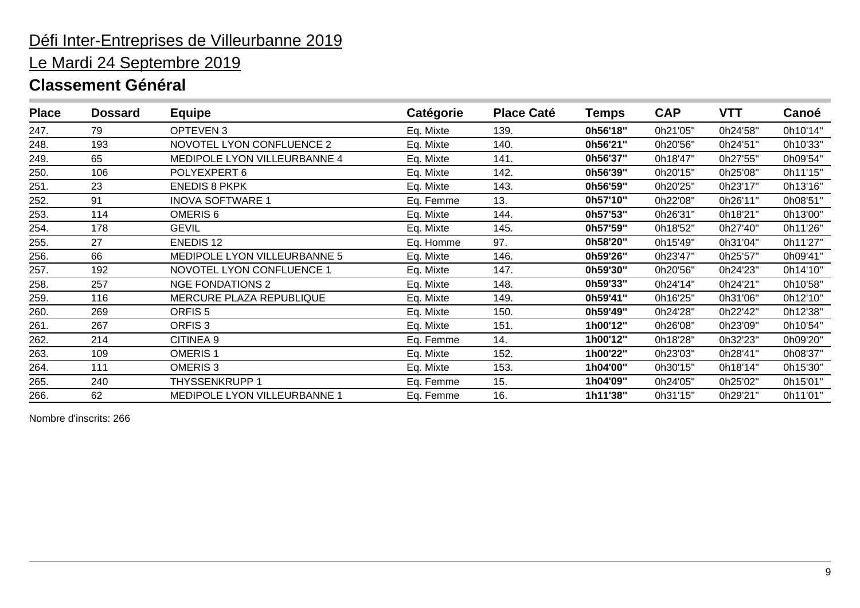### Le Mardi 24 Septembre 2019

### **Classement Général**

| <b>Place</b> | <b>Dossard</b> | <b>Equipe</b>                | Catégorie | <b>Place Caté</b> | <b>Temps</b> | <b>CAP</b> | <b>VTT</b> | Canoé    |
|--------------|----------------|------------------------------|-----------|-------------------|--------------|------------|------------|----------|
| 247.         | 79             | OPTEVEN 3                    | Eq. Mixte | 139.              | 0h56'18"     | 0h21'05"   | 0h24'58"   | 0h10'14" |
| 248.         | 193            | NOVOTEL LYON CONFLUENCE 2    | Eq. Mixte | 140.              | 0h56'21"     | 0h20'56"   | 0h24'51"   | 0h10'33" |
| 249.         | 65             | MEDIPOLE LYON VILLEURBANNE 4 | Eq. Mixte | 141.              | 0h56'37"     | 0h18'47"   | 0h27'55"   | 0h09'54" |
| 250.         | 106            | POLYEXPERT 6                 | Eq. Mixte | 142.              | 0h56'39"     | 0h20'15"   | 0h25'08"   | 0h11'15" |
| 251.         | 23             | <b>ENEDIS 8 PKPK</b>         | Eq. Mixte | 143.              | 0h56'59"     | 0h20'25"   | 0h23'17"   | 0h13'16" |
| 252.         | 91             | <b>INOVA SOFTWARE 1</b>      | Eq. Femme | 13.               | 0h57'10"     | 0h22'08"   | 0h26'11"   | 0h08'51" |
| 253.         | 114            | OMERIS <sub>6</sub>          | Eq. Mixte | 144.              | 0h57'53"     | 0h26'31"   | 0h18'21"   | 0h13'00" |
| 254.         | 178            | <b>GEVIL</b>                 | Eq. Mixte | 145.              | 0h57'59"     | 0h18'52"   | 0h27'40"   | 0h11'26" |
| 255.         | 27             | <b>ENEDIS12</b>              | Eq. Homme | 97.               | 0h58'20"     | 0h15'49"   | 0h31'04"   | 0h11'27" |
| 256.         | 66             | MEDIPOLE LYON VILLEURBANNE 5 | Eq. Mixte | 146.              | 0h59'26"     | 0h23'47"   | 0h25'57"   | 0h09'41" |
| 257.         | 192            | NOVOTEL LYON CONFLUENCE 1    | Eq. Mixte | 147.              | 0h59'30"     | 0h20'56"   | 0h24'23"   | 0h14'10" |
| 258.         | 257            | <b>NGE FONDATIONS 2</b>      | Eq. Mixte | 148.              | 0h59'33"     | 0h24'14"   | 0h24'21"   | 0h10'58" |
| 259.         | 116            | MERCURE PLAZA REPUBLIQUE     | Eq. Mixte | 149.              | 0h59'41"     | 0h16'25"   | 0h31'06"   | 0h12'10" |
| 260.         | 269            | ORFIS <sub>5</sub>           | Eq. Mixte | 150.              | 0h59'49"     | 0h24'28"   | 0h22'42"   | 0h12'38" |
| 261.         | 267            | ORFIS <sub>3</sub>           | Eq. Mixte | 151.              | 1h00'12"     | 0h26'08"   | 0h23'09"   | 0h10'54" |
| 262.         | 214            | CITINEA 9                    | Eq. Femme | 14.               | 1h00'12"     | 0h18'28"   | 0h32'23"   | 0h09'20" |
| 263.         | 109            | <b>OMERIS1</b>               | Eq. Mixte | 152.              | 1h00'22"     | 0h23'03"   | 0h28'41"   | 0h08'37" |
| 264.         | 111            | <b>OMERIS3</b>               | Eq. Mixte | 153.              | 1h04'00"     | 0h30'15"   | 0h18'14"   | 0h15'30" |
| 265.         | 240            | THYSSENKRUPP 1               | Eq. Femme | 15.               | 1h04'09"     | 0h24'05"   | 0h25'02"   | 0h15'01" |
| 266.         | 62             | MEDIPOLE LYON VILLEURBANNE 1 | Eq. Femme | 16.               | 1h11'38"     | 0h31'15"   | 0h29'21"   | 0h11'01" |

Nombre d'inscrits: 266